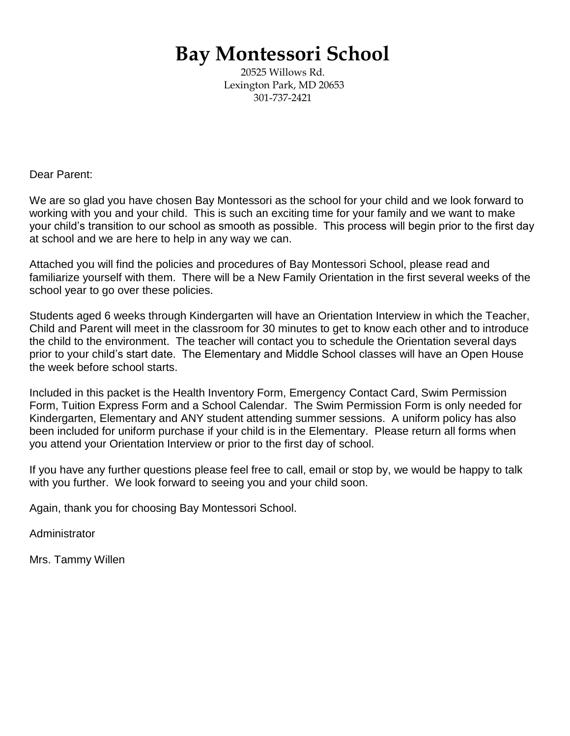# **Bay Montessori School**

20525 Willows Rd. Lexington Park, MD 20653 301-737-2421

Dear Parent:

We are so glad you have chosen Bay Montessori as the school for your child and we look forward to working with you and your child. This is such an exciting time for your family and we want to make your child's transition to our school as smooth as possible. This process will begin prior to the first day at school and we are here to help in any way we can.

Attached you will find the policies and procedures of Bay Montessori School, please read and familiarize yourself with them. There will be a New Family Orientation in the first several weeks of the school year to go over these policies.

Students aged 6 weeks through Kindergarten will have an Orientation Interview in which the Teacher, Child and Parent will meet in the classroom for 30 minutes to get to know each other and to introduce the child to the environment. The teacher will contact you to schedule the Orientation several days prior to your child's start date. The Elementary and Middle School classes will have an Open House the week before school starts.

Included in this packet is the Health Inventory Form, Emergency Contact Card, Swim Permission Form, Tuition Express Form and a School Calendar. The Swim Permission Form is only needed for Kindergarten, Elementary and ANY student attending summer sessions. A uniform policy has also been included for uniform purchase if your child is in the Elementary. Please return all forms when you attend your Orientation Interview or prior to the first day of school.

If you have any further questions please feel free to call, email or stop by, we would be happy to talk with you further. We look forward to seeing you and your child soon.

Again, thank you for choosing Bay Montessori School.

Administrator

Mrs. Tammy Willen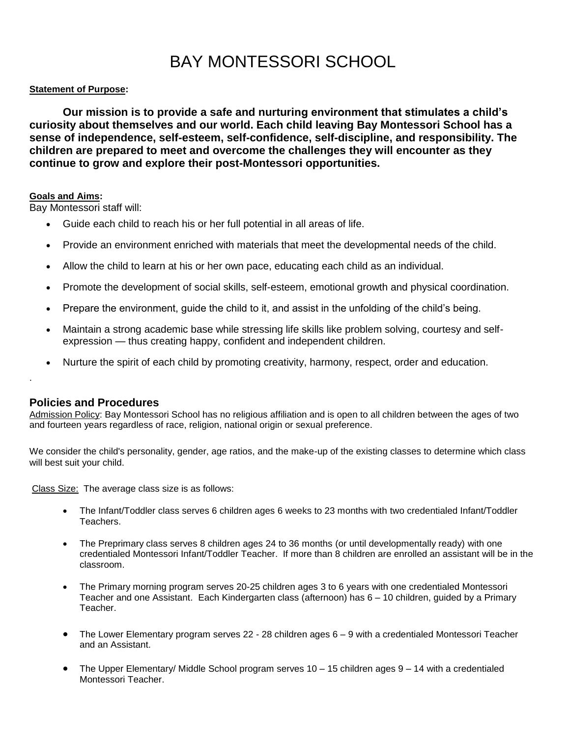## BAY MONTESSORI SCHOOL

#### **Statement of Purpose:**

**Our mission is to provide a safe and nurturing environment that stimulates a child's curiosity about themselves and our world. Each child leaving Bay Montessori School has a sense of independence, self-esteem, self-confidence, self-discipline, and responsibility. The children are prepared to meet and overcome the challenges they will encounter as they continue to grow and explore their post-Montessori opportunities.**

#### **Goals and Aims:**

Bay Montessori staff will:

- Guide each child to reach his or her full potential in all areas of life.
- Provide an environment enriched with materials that meet the developmental needs of the child.
- Allow the child to learn at his or her own pace, educating each child as an individual.
- Promote the development of social skills, self-esteem, emotional growth and physical coordination.
- Prepare the environment, guide the child to it, and assist in the unfolding of the child's being.
- Maintain a strong academic base while stressing life skills like problem solving, courtesy and selfexpression — thus creating happy, confident and independent children.
- Nurture the spirit of each child by promoting creativity, harmony, respect, order and education.

## **Policies and Procedures**

.

Admission Policy: Bay Montessori School has no religious affiliation and is open to all children between the ages of two and fourteen years regardless of race, religion, national origin or sexual preference.

We consider the child's personality, gender, age ratios, and the make-up of the existing classes to determine which class will best suit your child.

Class Size: The average class size is as follows:

- The Infant/Toddler class serves 6 children ages 6 weeks to 23 months with two credentialed Infant/Toddler Teachers.
- The Preprimary class serves 8 children ages 24 to 36 months (or until developmentally ready) with one credentialed Montessori Infant/Toddler Teacher. If more than 8 children are enrolled an assistant will be in the classroom.
- The Primary morning program serves 20-25 children ages 3 to 6 years with one credentialed Montessori Teacher and one Assistant. Each Kindergarten class (afternoon) has 6 – 10 children, guided by a Primary Teacher.
- The Lower Elementary program serves 22 28 children ages 6 9 with a credentialed Montessori Teacher and an Assistant.
- The Upper Elementary/ Middle School program serves 10 15 children ages 9 14 with a credentialed Montessori Teacher.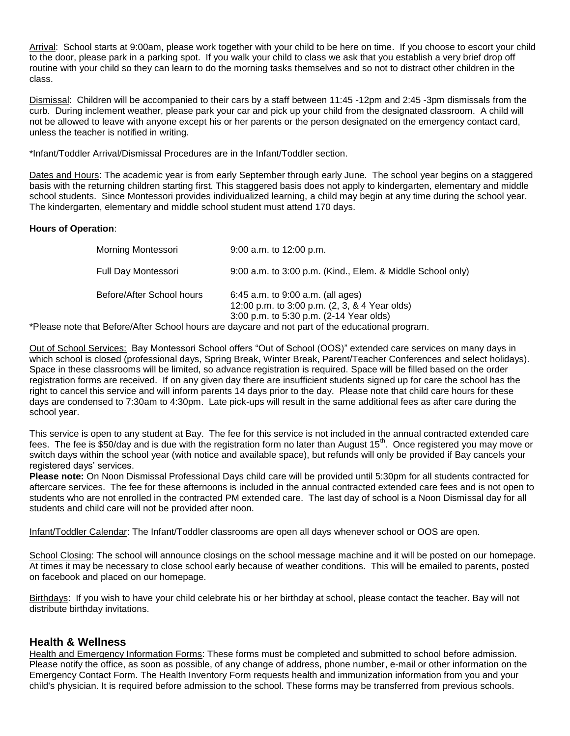Arrival: School starts at 9:00am, please work together with your child to be here on time. If you choose to escort your child to the door, please park in a parking spot. If you walk your child to class we ask that you establish a very brief drop off routine with your child so they can learn to do the morning tasks themselves and so not to distract other children in the class.

Dismissal: Children will be accompanied to their cars by a staff between 11:45 -12pm and 2:45 -3pm dismissals from the curb. During inclement weather, please park your car and pick up your child from the designated classroom. A child will not be allowed to leave with anyone except his or her parents or the person designated on the emergency contact card, unless the teacher is notified in writing.

\*Infant/Toddler Arrival/Dismissal Procedures are in the Infant/Toddler section.

Dates and Hours: The academic year is from early September through early June. The school year begins on a staggered basis with the returning children starting first. This staggered basis does not apply to kindergarten, elementary and middle school students. Since Montessori provides individualized learning, a child may begin at any time during the school year. The kindergarten, elementary and middle school student must attend 170 days.

#### **Hours of Operation**:

| Morning Montessori        | $9:00$ a.m. to 12:00 p.m.                                                                                                                                                                                                                             |
|---------------------------|-------------------------------------------------------------------------------------------------------------------------------------------------------------------------------------------------------------------------------------------------------|
| Full Day Montessori       | 9:00 a.m. to 3:00 p.m. (Kind., Elem. & Middle School only)                                                                                                                                                                                            |
| Before/After School hours | 6:45 a.m. to $9:00$ a.m. (all ages)<br>12:00 p.m. to 3:00 p.m. (2, 3, & 4 Year olds)<br>3:00 p.m. to 5:30 p.m. (2-14 Year olds)                                                                                                                       |
|                           | $\mathbf{A} \in \mathcal{A}$ and $\mathbf{A} \in \mathcal{A}$ . The contract of the contract of the contract of the contract of the contract of the contract of the contract of the contract of the contract of the contract of the contract of the c |

\*Please note that Before/After School hours are daycare and not part of the educational program.

Out of School Services: Bay Montessori School offers "Out of School (OOS)" extended care services on many days in which school is closed (professional days, Spring Break, Winter Break, Parent/Teacher Conferences and select holidays). Space in these classrooms will be limited, so advance registration is required. Space will be filled based on the order registration forms are received. If on any given day there are insufficient students signed up for care the school has the right to cancel this service and will inform parents 14 days prior to the day. Please note that child care hours for these days are condensed to 7:30am to 4:30pm. Late pick-ups will result in the same additional fees as after care during the school year.

This service is open to any student at Bay. The fee for this service is not included in the annual contracted extended care fees. The fee is \$50/day and is due with the registration form no later than August 15<sup>th</sup>. Once registered you may move or switch days within the school year (with notice and available space), but refunds will only be provided if Bay cancels your registered days' services.

**Please note:** On Noon Dismissal Professional Days child care will be provided until 5:30pm for all students contracted for aftercare services. The fee for these afternoons is included in the annual contracted extended care fees and is not open to students who are not enrolled in the contracted PM extended care. The last day of school is a Noon Dismissal day for all students and child care will not be provided after noon.

Infant/Toddler Calendar: The Infant/Toddler classrooms are open all days whenever school or OOS are open.

School Closing: The school will announce closings on the school message machine and it will be posted on our homepage. At times it may be necessary to close school early because of weather conditions. This will be emailed to parents, posted on facebook and placed on our homepage.

Birthdays: If you wish to have your child celebrate his or her birthday at school, please contact the teacher. Bay will not distribute birthday invitations.

## **Health & Wellness**

Health and Emergency Information Forms: These forms must be completed and submitted to school before admission. Please notify the office, as soon as possible, of any change of address, phone number, e-mail or other information on the Emergency Contact Form. The Health Inventory Form requests health and immunization information from you and your child's physician. It is required before admission to the school. These forms may be transferred from previous schools.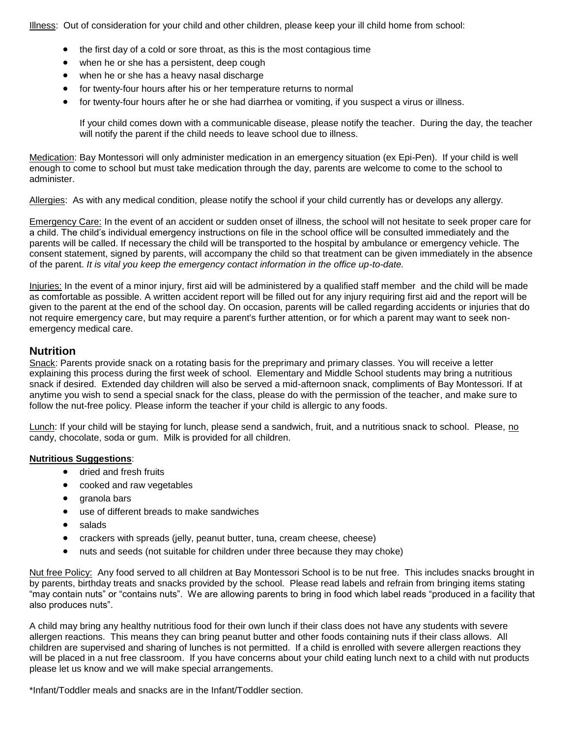Illness: Out of consideration for your child and other children, please keep your ill child home from school:

- the first day of a cold or sore throat, as this is the most contagious time
- when he or she has a persistent, deep cough
- when he or she has a heavy nasal discharge
- for twenty-four hours after his or her temperature returns to normal
- for twenty-four hours after he or she had diarrhea or vomiting, if you suspect a virus or illness.

If your child comes down with a communicable disease, please notify the teacher. During the day, the teacher will notify the parent if the child needs to leave school due to illness.

Medication: Bay Montessori will only administer medication in an emergency situation (ex Epi-Pen). If your child is well enough to come to school but must take medication through the day, parents are welcome to come to the school to administer.

Allergies: As with any medical condition, please notify the school if your child currently has or develops any allergy.

Emergency Care: In the event of an accident or sudden onset of illness, the school will not hesitate to seek proper care for a child. The child's individual emergency instructions on file in the school office will be consulted immediately and the parents will be called. If necessary the child will be transported to the hospital by ambulance or emergency vehicle. The consent statement, signed by parents, will accompany the child so that treatment can be given immediately in the absence of the parent. *It is vital you keep the emergency contact information in the office up-to-date.*

Injuries: In the event of a minor injury, first aid will be administered by a qualified staff member and the child will be made as comfortable as possible. A written accident report will be filled out for any injury requiring first aid and the report will be given to the parent at the end of the school day. On occasion, parents will be called regarding accidents or injuries that do not require emergency care, but may require a parent's further attention, or for which a parent may want to seek nonemergency medical care.

#### **Nutrition**

Snack: Parents provide snack on a rotating basis for the preprimary and primary classes. You will receive a letter explaining this process during the first week of school. Elementary and Middle School students may bring a nutritious snack if desired. Extended day children will also be served a mid-afternoon snack, compliments of Bay Montessori. If at anytime you wish to send a special snack for the class, please do with the permission of the teacher, and make sure to follow the nut-free policy. Please inform the teacher if your child is allergic to any foods.

Lunch: If your child will be staying for lunch, please send a sandwich, fruit, and a nutritious snack to school. Please, no candy, chocolate, soda or gum. Milk is provided for all children.

#### **Nutritious Suggestions**:

- dried and fresh fruits
- cooked and raw vegetables
- aranola bars
- use of different breads to make sandwiches
- salads
- crackers with spreads (jelly, peanut butter, tuna, cream cheese, cheese)
- nuts and seeds (not suitable for children under three because they may choke)

Nut free Policy: Any food served to all children at Bay Montessori School is to be nut free. This includes snacks brought in by parents, birthday treats and snacks provided by the school. Please read labels and refrain from bringing items stating "may contain nuts" or "contains nuts". We are allowing parents to bring in food which label reads "produced in a facility that also produces nuts".

A child may bring any healthy nutritious food for their own lunch if their class does not have any students with severe allergen reactions. This means they can bring peanut butter and other foods containing nuts if their class allows. All children are supervised and sharing of lunches is not permitted. If a child is enrolled with severe allergen reactions they will be placed in a nut free classroom. If you have concerns about your child eating lunch next to a child with nut products please let us know and we will make special arrangements.

\*Infant/Toddler meals and snacks are in the Infant/Toddler section.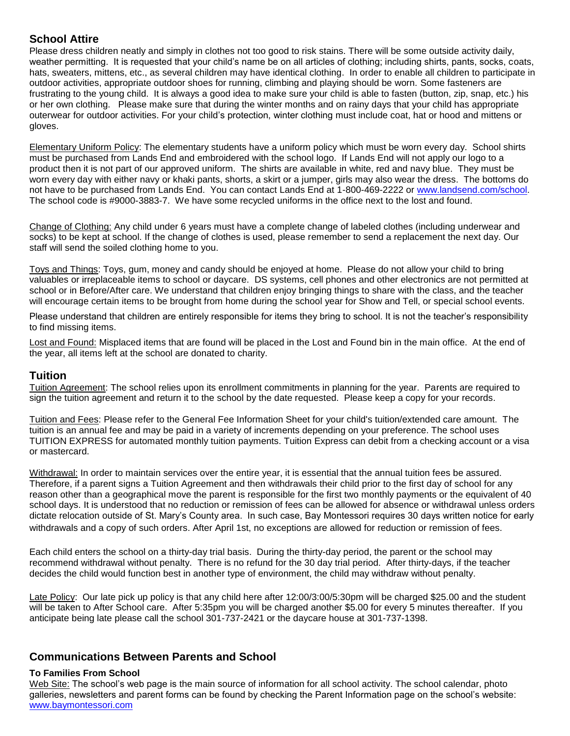## **School Attire**

Please dress children neatly and simply in clothes not too good to risk stains. There will be some outside activity daily, weather permitting. It is requested that your child's name be on all articles of clothing; including shirts, pants, socks, coats, hats, sweaters, mittens, etc., as several children may have identical clothing. In order to enable all children to participate in outdoor activities, appropriate outdoor shoes for running, climbing and playing should be worn. Some fasteners are frustrating to the young child. It is always a good idea to make sure your child is able to fasten (button, zip, snap, etc.) his or her own clothing. Please make sure that during the winter months and on rainy days that your child has appropriate outerwear for outdoor activities. For your child's protection, winter clothing must include coat, hat or hood and mittens or gloves.

Elementary Uniform Policy: The elementary students have a uniform policy which must be worn every day. School shirts must be purchased from Lands End and embroidered with the school logo. If Lands End will not apply our logo to a product then it is not part of our approved uniform. The shirts are available in white, red and navy blue. They must be worn every day with either navy or khaki pants, shorts, a skirt or a jumper, girls may also wear the dress. The bottoms do not have to be purchased from Lands End. You can contact Lands End at 1-800-469-2222 or [www.landsend.com/school.](http://www.landsend.com/school) The school code is #9000-3883-7. We have some recycled uniforms in the office next to the lost and found.

Change of Clothing: Any child under 6 years must have a complete change of labeled clothes (including underwear and socks) to be kept at school. If the change of clothes is used, please remember to send a replacement the next day. Our staff will send the soiled clothing home to you.

Toys and Things: Toys, gum, money and candy should be enjoyed at home. Please do not allow your child to bring valuables or irreplaceable items to school or daycare. DS systems, cell phones and other electronics are not permitted at school or in Before/After care. We understand that children enjoy bringing things to share with the class, and the teacher will encourage certain items to be brought from home during the school year for Show and Tell, or special school events.

Please understand that children are entirely responsible for items they bring to school. It is not the teacher's responsibility to find missing items.

Lost and Found: Misplaced items that are found will be placed in the Lost and Found bin in the main office. At the end of the year, all items left at the school are donated to charity.

## **Tuition**

Tuition Agreement: The school relies upon its enrollment commitments in planning for the year. Parents are required to sign the tuition agreement and return it to the school by the date requested. Please keep a copy for your records.

Tuition and Fees: Please refer to the General Fee Information Sheet for your child's tuition/extended care amount. The tuition is an annual fee and may be paid in a variety of increments depending on your preference. The school uses TUITION EXPRESS for automated monthly tuition payments. Tuition Express can debit from a checking account or a visa or mastercard.

Withdrawal: In order to maintain services over the entire year, it is essential that the annual tuition fees be assured. Therefore, if a parent signs a Tuition Agreement and then withdrawals their child prior to the first day of school for any reason other than a geographical move the parent is responsible for the first two monthly payments or the equivalent of 40 school days. It is understood that no reduction or remission of fees can be allowed for absence or withdrawal unless orders dictate relocation outside of St. Mary's County area. In such case, Bay Montessori requires 30 days written notice for early withdrawals and a copy of such orders. After April 1st, no exceptions are allowed for reduction or remission of fees.

Each child enters the school on a thirty-day trial basis. During the thirty-day period, the parent or the school may recommend withdrawal without penalty. There is no refund for the 30 day trial period. After thirty-days, if the teacher decides the child would function best in another type of environment, the child may withdraw without penalty.

Late Policy: Our late pick up policy is that any child here after 12:00/3:00/5:30pm will be charged \$25.00 and the student will be taken to After School care. After 5:35pm you will be charged another \$5.00 for every 5 minutes thereafter. If you anticipate being late please call the school 301-737-2421 or the daycare house at 301-737-1398.

## **Communications Between Parents and School**

#### **To Families From School**

Web Site: The school's web page is the main source of information for all school activity. The school calendar, photo galleries, newsletters and parent forms can be found by checking the Parent Information page on the school's website: [www.baymontessori.com](http://www.baymontessori.com/)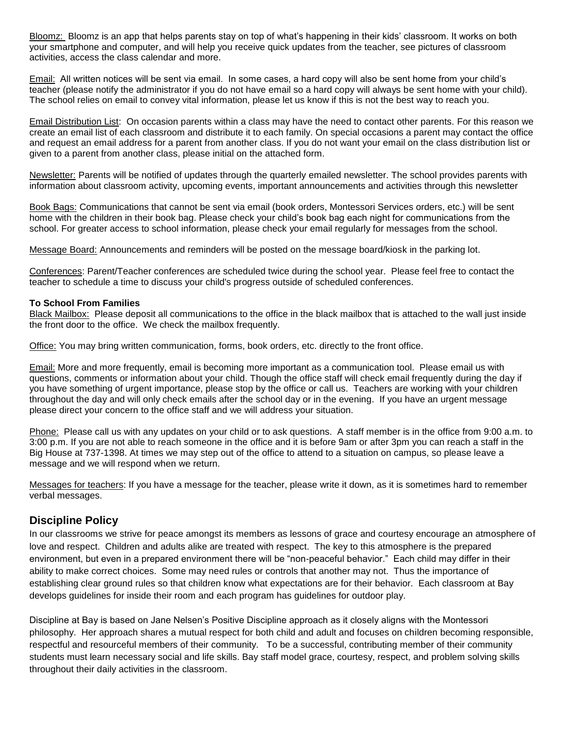Bloomz: Bloomz is an app that helps parents stay on top of what's happening in their kids' classroom. It works on both your smartphone and computer, and will help you receive quick updates from the teacher, see pictures of classroom activities, access the class calendar and more.

Email: All written notices will be sent via email. In some cases, a hard copy will also be sent home from your child's teacher (please notify the administrator if you do not have email so a hard copy will always be sent home with your child). The school relies on email to convey vital information, please let us know if this is not the best way to reach you.

Email Distribution List: On occasion parents within a class may have the need to contact other parents. For this reason we create an email list of each classroom and distribute it to each family. On special occasions a parent may contact the office and request an email address for a parent from another class. If you do not want your email on the class distribution list or given to a parent from another class, please initial on the attached form.

Newsletter: Parents will be notified of updates through the quarterly emailed newsletter. The school provides parents with information about classroom activity, upcoming events, important announcements and activities through this newsletter

Book Bags: Communications that cannot be sent via email (book orders, Montessori Services orders, etc.) will be sent home with the children in their book bag. Please check your child's book bag each night for communications from the school. For greater access to school information, please check your email regularly for messages from the school.

Message Board: Announcements and reminders will be posted on the message board/kiosk in the parking lot.

Conferences: Parent/Teacher conferences are scheduled twice during the school year. Please feel free to contact the teacher to schedule a time to discuss your child's progress outside of scheduled conferences.

#### **To School From Families**

Black Mailbox: Please deposit all communications to the office in the black mailbox that is attached to the wall just inside the front door to the office. We check the mailbox frequently.

Office: You may bring written communication, forms, book orders, etc. directly to the front office.

Email: More and more frequently, email is becoming more important as a communication tool. Please email us with questions, comments or information about your child. Though the office staff will check email frequently during the day if you have something of urgent importance, please stop by the office or call us. Teachers are working with your children throughout the day and will only check emails after the school day or in the evening. If you have an urgent message please direct your concern to the office staff and we will address your situation.

Phone:Please call us with any updates on your child or to ask questions. A staff member is in the office from 9:00 a.m. to 3:00 p.m. If you are not able to reach someone in the office and it is before 9am or after 3pm you can reach a staff in the Big House at 737-1398. At times we may step out of the office to attend to a situation on campus, so please leave a message and we will respond when we return.

Messages for teachers: If you have a message for the teacher, please write it down, as it is sometimes hard to remember verbal messages.

## **Discipline Policy**

In our classrooms we strive for peace amongst its members as lessons of grace and courtesy encourage an atmosphere of love and respect. Children and adults alike are treated with respect. The key to this atmosphere is the prepared environment, but even in a prepared environment there will be "non-peaceful behavior." Each child may differ in their ability to make correct choices. Some may need rules or controls that another may not. Thus the importance of establishing clear ground rules so that children know what expectations are for their behavior. Each classroom at Bay develops guidelines for inside their room and each program has guidelines for outdoor play.

Discipline at Bay is based on Jane Nelsen's Positive Discipline approach as it closely aligns with the Montessori philosophy. Her approach shares a mutual respect for both child and adult and focuses on children becoming responsible, respectful and resourceful members of their community. To be a successful, contributing member of their community students must learn necessary social and life skills. Bay staff model grace, courtesy, respect, and problem solving skills throughout their daily activities in the classroom.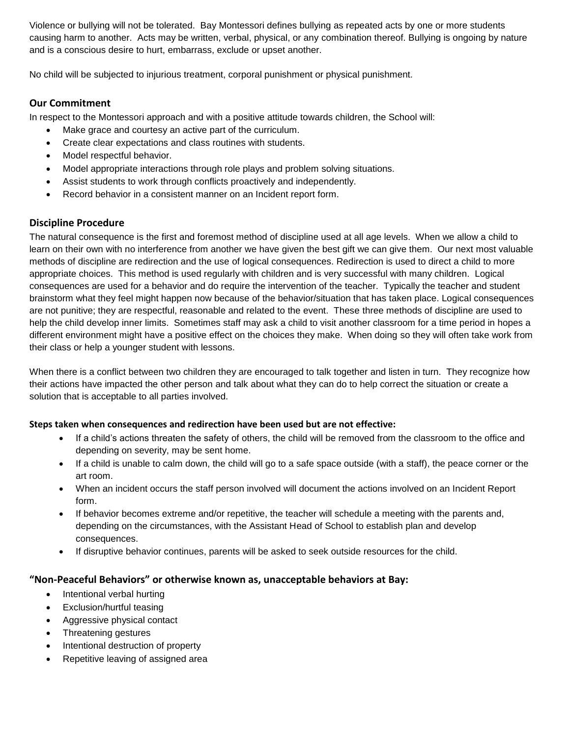Violence or bullying will not be tolerated. Bay Montessori defines bullying as repeated acts by one or more students causing harm to another. Acts may be written, verbal, physical, or any combination thereof. Bullying is ongoing by nature and is a conscious desire to hurt, embarrass, exclude or upset another.

No child will be subjected to injurious treatment, corporal punishment or physical punishment.

#### **Our Commitment**

In respect to the Montessori approach and with a positive attitude towards children, the School will:

- Make grace and courtesy an active part of the curriculum.
- Create clear expectations and class routines with students.
- Model respectful behavior.
- Model appropriate interactions through role plays and problem solving situations.
- Assist students to work through conflicts proactively and independently.
- Record behavior in a consistent manner on an Incident report form.

### **Discipline Procedure**

The natural consequence is the first and foremost method of discipline used at all age levels. When we allow a child to learn on their own with no interference from another we have given the best gift we can give them. Our next most valuable methods of discipline are redirection and the use of logical consequences. Redirection is used to direct a child to more appropriate choices. This method is used regularly with children and is very successful with many children. Logical consequences are used for a behavior and do require the intervention of the teacher. Typically the teacher and student brainstorm what they feel might happen now because of the behavior/situation that has taken place. Logical consequences are not punitive; they are respectful, reasonable and related to the event. These three methods of discipline are used to help the child develop inner limits. Sometimes staff may ask a child to visit another classroom for a time period in hopes a different environment might have a positive effect on the choices they make. When doing so they will often take work from their class or help a younger student with lessons.

When there is a conflict between two children they are encouraged to talk together and listen in turn. They recognize how their actions have impacted the other person and talk about what they can do to help correct the situation or create a solution that is acceptable to all parties involved.

#### **Steps taken when consequences and redirection have been used but are not effective:**

- If a child's actions threaten the safety of others, the child will be removed from the classroom to the office and depending on severity, may be sent home.
- If a child is unable to calm down, the child will go to a safe space outside (with a staff), the peace corner or the art room.
- When an incident occurs the staff person involved will document the actions involved on an Incident Report form.
- If behavior becomes extreme and/or repetitive, the teacher will schedule a meeting with the parents and, depending on the circumstances, with the Assistant Head of School to establish plan and develop consequences.
- If disruptive behavior continues, parents will be asked to seek outside resources for the child.

## **"Non-Peaceful Behaviors" or otherwise known as, unacceptable behaviors at Bay:**

- Intentional verbal hurting
- Exclusion/hurtful teasing
- Aggressive physical contact
- Threatening gestures
- Intentional destruction of property
- Repetitive leaving of assigned area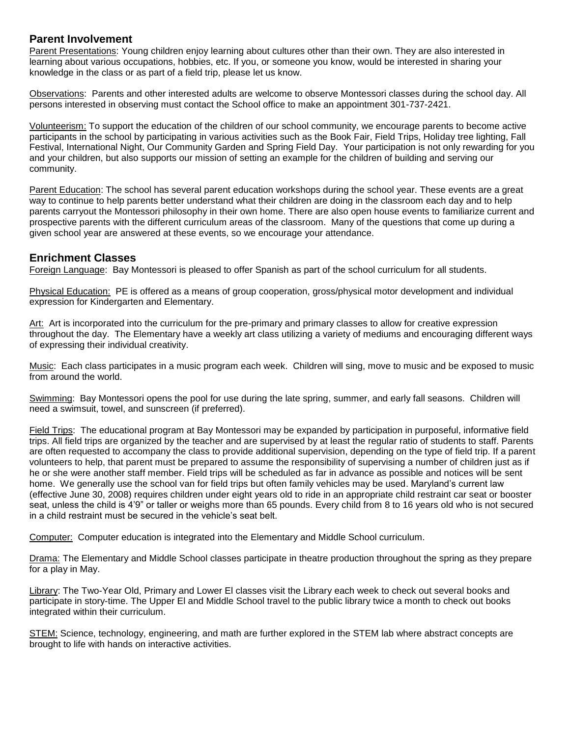## **Parent Involvement**

Parent Presentations: Young children enjoy learning about cultures other than their own. They are also interested in learning about various occupations, hobbies, etc. If you, or someone you know, would be interested in sharing your knowledge in the class or as part of a field trip, please let us know.

Observations: Parents and other interested adults are welcome to observe Montessori classes during the school day. All persons interested in observing must contact the School office to make an appointment 301-737-2421.

Volunteerism: To support the education of the children of our school community, we encourage parents to become active participants in the school by participating in various activities such as the Book Fair, Field Trips, Holiday tree lighting, Fall Festival, International Night, Our Community Garden and Spring Field Day. Your participation is not only rewarding for you and your children, but also supports our mission of setting an example for the children of building and serving our community.

Parent Education: The school has several parent education workshops during the school year. These events are a great way to continue to help parents better understand what their children are doing in the classroom each day and to help parents carryout the Montessori philosophy in their own home. There are also open house events to familiarize current and prospective parents with the different curriculum areas of the classroom. Many of the questions that come up during a given school year are answered at these events, so we encourage your attendance.

## **Enrichment Classes**

Foreign Language: Bay Montessori is pleased to offer Spanish as part of the school curriculum for all students.

Physical Education: PE is offered as a means of group cooperation, gross/physical motor development and individual expression for Kindergarten and Elementary.

Art: Art is incorporated into the curriculum for the pre-primary and primary classes to allow for creative expression throughout the day. The Elementary have a weekly art class utilizing a variety of mediums and encouraging different ways of expressing their individual creativity.

Music: Each class participates in a music program each week. Children will sing, move to music and be exposed to music from around the world.

Swimming: Bay Montessori opens the pool for use during the late spring, summer, and early fall seasons. Children will need a swimsuit, towel, and sunscreen (if preferred).

Field Trips: The educational program at Bay Montessori may be expanded by participation in purposeful, informative field trips. All field trips are organized by the teacher and are supervised by at least the regular ratio of students to staff. Parents are often requested to accompany the class to provide additional supervision, depending on the type of field trip. If a parent volunteers to help, that parent must be prepared to assume the responsibility of supervising a number of children just as if he or she were another staff member. Field trips will be scheduled as far in advance as possible and notices will be sent home. We generally use the school van for field trips but often family vehicles may be used. Maryland's current law (effective June 30, 2008) requires children under eight years old to ride in an appropriate child restraint car seat or booster seat, unless the child is 4'9" or taller or weighs more than 65 pounds. Every child from 8 to 16 years old who is not secured in a child restraint must be secured in the vehicle's seat belt.

Computer: Computer education is integrated into the Elementary and Middle School curriculum.

Drama: The Elementary and Middle School classes participate in theatre production throughout the spring as they prepare for a play in May.

Library: The Two-Year Old, Primary and Lower El classes visit the Library each week to check out several books and participate in story-time. The Upper El and Middle School travel to the public library twice a month to check out books integrated within their curriculum.

STEM: Science, technology, engineering, and math are further explored in the STEM lab where abstract concepts are brought to life with hands on interactive activities.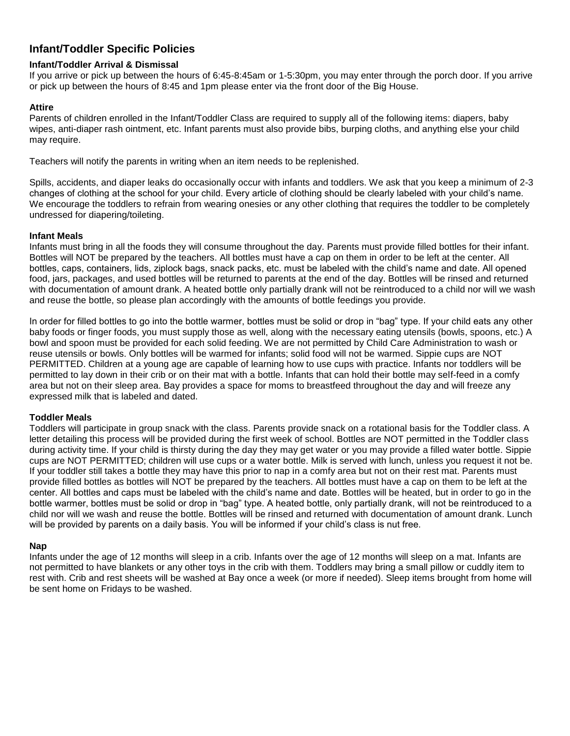## **Infant/Toddler Specific Policies**

#### **Infant/Toddler Arrival & Dismissal**

If you arrive or pick up between the hours of 6:45-8:45am or 1-5:30pm, you may enter through the porch door. If you arrive or pick up between the hours of 8:45 and 1pm please enter via the front door of the Big House.

#### **Attire**

Parents of children enrolled in the Infant/Toddler Class are required to supply all of the following items: diapers, baby wipes, anti-diaper rash ointment, etc. Infant parents must also provide bibs, burping cloths, and anything else your child may require.

Teachers will notify the parents in writing when an item needs to be replenished.

Spills, accidents, and diaper leaks do occasionally occur with infants and toddlers. We ask that you keep a minimum of 2-3 changes of clothing at the school for your child. Every article of clothing should be clearly labeled with your child's name. We encourage the toddlers to refrain from wearing onesies or any other clothing that requires the toddler to be completely undressed for diapering/toileting.

#### **Infant Meals**

Infants must bring in all the foods they will consume throughout the day. Parents must provide filled bottles for their infant. Bottles will NOT be prepared by the teachers. All bottles must have a cap on them in order to be left at the center. All bottles, caps, containers, lids, ziplock bags, snack packs, etc. must be labeled with the child's name and date. All opened food, jars, packages, and used bottles will be returned to parents at the end of the day. Bottles will be rinsed and returned with documentation of amount drank. A heated bottle only partially drank will not be reintroduced to a child nor will we wash and reuse the bottle, so please plan accordingly with the amounts of bottle feedings you provide.

In order for filled bottles to go into the bottle warmer, bottles must be solid or drop in "bag" type. If your child eats any other baby foods or finger foods, you must supply those as well, along with the necessary eating utensils (bowls, spoons, etc.) A bowl and spoon must be provided for each solid feeding. We are not permitted by Child Care Administration to wash or reuse utensils or bowls. Only bottles will be warmed for infants; solid food will not be warmed. Sippie cups are NOT PERMITTED. Children at a young age are capable of learning how to use cups with practice. Infants nor toddlers will be permitted to lay down in their crib or on their mat with a bottle. Infants that can hold their bottle may self-feed in a comfy area but not on their sleep area. Bay provides a space for moms to breastfeed throughout the day and will freeze any expressed milk that is labeled and dated.

#### **Toddler Meals**

Toddlers will participate in group snack with the class. Parents provide snack on a rotational basis for the Toddler class. A letter detailing this process will be provided during the first week of school. Bottles are NOT permitted in the Toddler class during activity time. If your child is thirsty during the day they may get water or you may provide a filled water bottle. Sippie cups are NOT PERMITTED; children will use cups or a water bottle. Milk is served with lunch, unless you request it not be. If your toddler still takes a bottle they may have this prior to nap in a comfy area but not on their rest mat. Parents must provide filled bottles as bottles will NOT be prepared by the teachers. All bottles must have a cap on them to be left at the center. All bottles and caps must be labeled with the child's name and date. Bottles will be heated, but in order to go in the bottle warmer, bottles must be solid or drop in "bag" type. A heated bottle, only partially drank, will not be reintroduced to a child nor will we wash and reuse the bottle. Bottles will be rinsed and returned with documentation of amount drank. Lunch will be provided by parents on a daily basis. You will be informed if your child's class is nut free.

#### **Nap**

Infants under the age of 12 months will sleep in a crib. Infants over the age of 12 months will sleep on a mat. Infants are not permitted to have blankets or any other toys in the crib with them. Toddlers may bring a small pillow or cuddly item to rest with. Crib and rest sheets will be washed at Bay once a week (or more if needed). Sleep items brought from home will be sent home on Fridays to be washed.